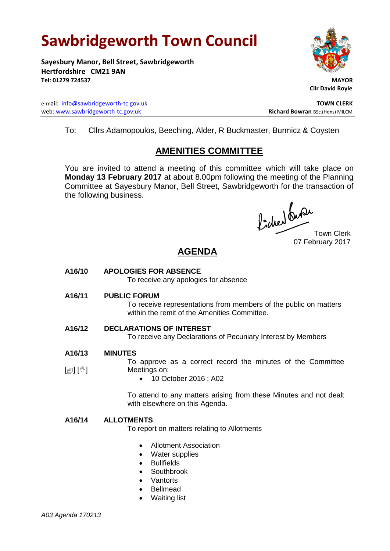# **Sawbridgeworth Town Council**

**Sayesbury Manor, Bell Street, Sawbridgeworth Hertfordshire CM21 9AN Tel: 01279 724537 MAYOR**

e-mail: [info@sawbridgeworth-tc.gov.uk](mailto:info@sawbridgeworth-tc.gov.uk) **TOWN CLERK** web: www.sawbridgeworth-tc.gov.uk<br>
Richard Bowran BSc.(Hons) MILCM



 **Cllr David Royle**

To: Cllrs Adamopoulos, Beeching, Alder, R Buckmaster, Burmicz & Coysten

## **AMENITIES COMMITTEE**

You are invited to attend a meeting of this committee which will take place on **Monday 13 February 2017** at about 8.00pm following the meeting of the Planning Committee at Sayesbury Manor, Bell Street, Sawbridgeworth for the transaction of the following business.

Picked Que

Town Clerk 07 February 2017

## **AGENDA**

**A16/10 APOLOGIES FOR ABSENCE**

To receive any apologies for absence

**A16/11 PUBLIC FORUM**

To receive representations from members of the public on matters within the remit of the Amenities Committee.

### **A16/12 DECLARATIONS OF INTEREST**

To receive any Declarations of Pecuniary Interest by Members

- **A16/13 MINUTES**
- [創] [V] To approve as a correct record the minutes of the Committee Meetings on:
	- 10 October 2016 : A02

To attend to any matters arising from these Minutes and not dealt with elsewhere on this Agenda.

#### **A16/14 ALLOTMENTS**

To report on matters relating to Allotments

- Allotment Association
- Water supplies
- Bullfields
- Southbrook
- Vantorts
- Bellmead
- Waiting list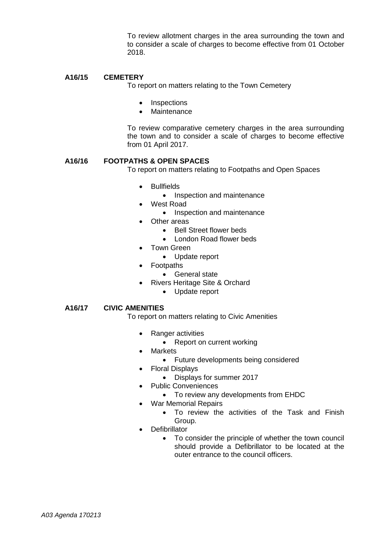To review allotment charges in the area surrounding the town and to consider a scale of charges to become effective from 01 October 2018.

#### **A16/15 CEMETERY**

To report on matters relating to the Town Cemetery

- **Inspections**
- **Maintenance**

To review comparative cemetery charges in the area surrounding the town and to consider a scale of charges to become effective from 01 April 2017.

#### **A16/16 FOOTPATHS & OPEN SPACES**

To report on matters relating to Footpaths and Open Spaces

- Bullfields
	- Inspection and maintenance
- West Road
	- Inspection and maintenance
- Other areas
	- Bell Street flower beds
	- London Road flower beds
- Town Green
	- Update report
- Footpaths
	- General state
- Rivers Heritage Site & Orchard
	- Update report

#### **A16/17 CIVIC AMENITIES**

To report on matters relating to Civic Amenities

- Ranger activities
	- Report on current working
- Markets
	- Future developments being considered
- Floral Displays
	- Displays for summer 2017
- Public Conveniences
	- To review any developments from EHDC
- War Memorial Repairs
	- To review the activities of the Task and Finish Group.
- Defibrillator
	- To consider the principle of whether the town council should provide a Defibrillator to be located at the outer entrance to the council officers.